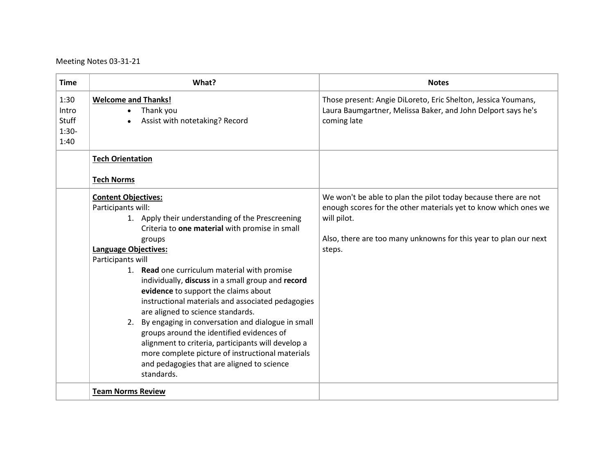Meeting Notes 03-31-21

| <b>Time</b>                                      | What?                                                                                                                                                                                                                                                                                                                                                                                                                                                                                                                                                                                                                                                                                                                                  | <b>Notes</b>                                                                                                                                                                                                                   |
|--------------------------------------------------|----------------------------------------------------------------------------------------------------------------------------------------------------------------------------------------------------------------------------------------------------------------------------------------------------------------------------------------------------------------------------------------------------------------------------------------------------------------------------------------------------------------------------------------------------------------------------------------------------------------------------------------------------------------------------------------------------------------------------------------|--------------------------------------------------------------------------------------------------------------------------------------------------------------------------------------------------------------------------------|
| 1:30<br>Intro<br><b>Stuff</b><br>$1:30-$<br>1:40 | <b>Welcome and Thanks!</b><br>Thank you<br>Assist with notetaking? Record                                                                                                                                                                                                                                                                                                                                                                                                                                                                                                                                                                                                                                                              | Those present: Angie DiLoreto, Eric Shelton, Jessica Youmans,<br>Laura Baumgartner, Melissa Baker, and John Delport says he's<br>coming late                                                                                   |
|                                                  | <b>Tech Orientation</b><br><b>Tech Norms</b>                                                                                                                                                                                                                                                                                                                                                                                                                                                                                                                                                                                                                                                                                           |                                                                                                                                                                                                                                |
|                                                  | <b>Content Objectives:</b><br>Participants will:<br>1. Apply their understanding of the Prescreening<br>Criteria to one material with promise in small<br>groups<br><b>Language Objectives:</b><br>Participants will<br>1. Read one curriculum material with promise<br>individually, discuss in a small group and record<br>evidence to support the claims about<br>instructional materials and associated pedagogies<br>are aligned to science standards.<br>2. By engaging in conversation and dialogue in small<br>groups around the identified evidences of<br>alignment to criteria, participants will develop a<br>more complete picture of instructional materials<br>and pedagogies that are aligned to science<br>standards. | We won't be able to plan the pilot today because there are not<br>enough scores for the other materials yet to know which ones we<br>will pilot.<br>Also, there are too many unknowns for this year to plan our next<br>steps. |
|                                                  | <b>Team Norms Review</b>                                                                                                                                                                                                                                                                                                                                                                                                                                                                                                                                                                                                                                                                                                               |                                                                                                                                                                                                                                |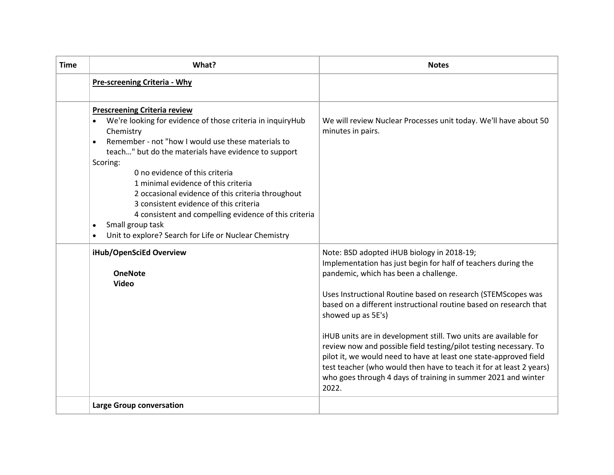| Time | What?                                                                                                                                                                                                                                                                                                                                                                                                                                                                                  | <b>Notes</b>                                                                                                                                                                                                                                                                                                                                                                                                                                                                                                                                                                                                                                                                   |
|------|----------------------------------------------------------------------------------------------------------------------------------------------------------------------------------------------------------------------------------------------------------------------------------------------------------------------------------------------------------------------------------------------------------------------------------------------------------------------------------------|--------------------------------------------------------------------------------------------------------------------------------------------------------------------------------------------------------------------------------------------------------------------------------------------------------------------------------------------------------------------------------------------------------------------------------------------------------------------------------------------------------------------------------------------------------------------------------------------------------------------------------------------------------------------------------|
|      | Pre-screening Criteria - Why                                                                                                                                                                                                                                                                                                                                                                                                                                                           |                                                                                                                                                                                                                                                                                                                                                                                                                                                                                                                                                                                                                                                                                |
|      | <b>Prescreening Criteria review</b><br>We're looking for evidence of those criteria in inquiryHub<br>$\bullet$<br>Chemistry<br>Remember - not "how I would use these materials to<br>teach" but do the materials have evidence to support<br>Scoring:<br>0 no evidence of this criteria<br>1 minimal evidence of this criteria<br>2 occasional evidence of this criteria throughout<br>3 consistent evidence of this criteria<br>4 consistent and compelling evidence of this criteria | We will review Nuclear Processes unit today. We'll have about 50<br>minutes in pairs.                                                                                                                                                                                                                                                                                                                                                                                                                                                                                                                                                                                          |
|      | Small group task<br>Unit to explore? Search for Life or Nuclear Chemistry                                                                                                                                                                                                                                                                                                                                                                                                              |                                                                                                                                                                                                                                                                                                                                                                                                                                                                                                                                                                                                                                                                                |
|      | iHub/OpenSciEd Overview<br><b>OneNote</b><br><b>Video</b>                                                                                                                                                                                                                                                                                                                                                                                                                              | Note: BSD adopted iHUB biology in 2018-19;<br>Implementation has just begin for half of teachers during the<br>pandemic, which has been a challenge.<br>Uses Instructional Routine based on research (STEMScopes was<br>based on a different instructional routine based on research that<br>showed up as 5E's)<br>iHUB units are in development still. Two units are available for<br>review now and possible field testing/pilot testing necessary. To<br>pilot it, we would need to have at least one state-approved field<br>test teacher (who would then have to teach it for at least 2 years)<br>who goes through 4 days of training in summer 2021 and winter<br>2022. |
|      | <b>Large Group conversation</b>                                                                                                                                                                                                                                                                                                                                                                                                                                                        |                                                                                                                                                                                                                                                                                                                                                                                                                                                                                                                                                                                                                                                                                |